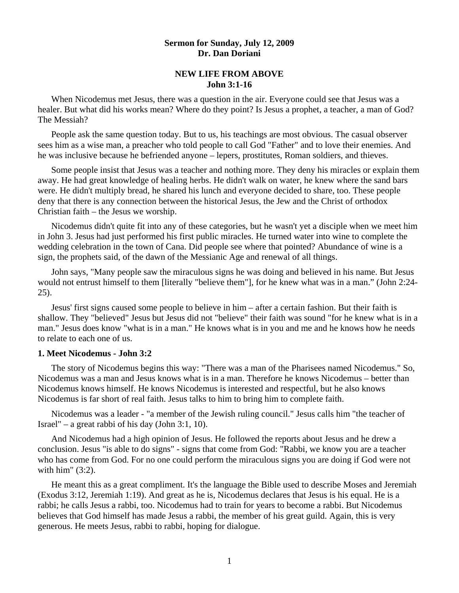# **Sermon for Sunday, July 12, 2009 Dr. Dan Doriani**

# **NEW LIFE FROM ABOVE John 3:1-16**

When Nicodemus met Jesus, there was a question in the air. Everyone could see that Jesus was a healer. But what did his works mean? Where do they point? Is Jesus a prophet, a teacher, a man of God? The Messiah?

 People ask the same question today. But to us, his teachings are most obvious. The casual observer sees him as a wise man, a preacher who told people to call God "Father" and to love their enemies. And he was inclusive because he befriended anyone – lepers, prostitutes, Roman soldiers, and thieves.

 Some people insist that Jesus was a teacher and nothing more. They deny his miracles or explain them away. He had great knowledge of healing herbs. He didn't walk on water, he knew where the sand bars were. He didn't multiply bread, he shared his lunch and everyone decided to share, too. These people deny that there is any connection between the historical Jesus, the Jew and the Christ of orthodox Christian faith – the Jesus we worship.

Nicodemus didn't quite fit into any of these categories, but he wasn't yet a disciple when we meet him in John 3. Jesus had just performed his first public miracles. He turned water into wine to complete the wedding celebration in the town of Cana. Did people see where that pointed? Abundance of wine is a sign, the prophets said, of the dawn of the Messianic Age and renewal of all things.

 John says, "Many people saw the miraculous signs he was doing and believed in his name. But Jesus would not entrust himself to them [literally "believe them"], for he knew what was in a man." (John 2:24- 25).

 Jesus' first signs caused some people to believe in him – after a certain fashion. But their faith is shallow. They "believed" Jesus but Jesus did not "believe" their faith was sound "for he knew what is in a man." Jesus does know "what is in a man." He knows what is in you and me and he knows how he needs to relate to each one of us.

### **1. Meet Nicodemus - John 3:2**

 The story of Nicodemus begins this way: "There was a man of the Pharisees named Nicodemus." So, Nicodemus was a man and Jesus knows what is in a man. Therefore he knows Nicodemus – better than Nicodemus knows himself. He knows Nicodemus is interested and respectful, but he also knows Nicodemus is far short of real faith. Jesus talks to him to bring him to complete faith.

 Nicodemus was a leader - "a member of the Jewish ruling council." Jesus calls him "the teacher of Israel" – a great rabbi of his day (John 3:1, 10).

 And Nicodemus had a high opinion of Jesus. He followed the reports about Jesus and he drew a conclusion. Jesus "is able to do signs" - signs that come from God: "Rabbi, we know you are a teacher who has come from God. For no one could perform the miraculous signs you are doing if God were not with him" (3:2).

 He meant this as a great compliment. It's the language the Bible used to describe Moses and Jeremiah (Exodus 3:12, Jeremiah 1:19). And great as he is, Nicodemus declares that Jesus is his equal. He is a rabbi; he calls Jesus a rabbi, too. Nicodemus had to train for years to become a rabbi. But Nicodemus believes that God himself has made Jesus a rabbi, the member of his great guild. Again, this is very generous. He meets Jesus, rabbi to rabbi, hoping for dialogue.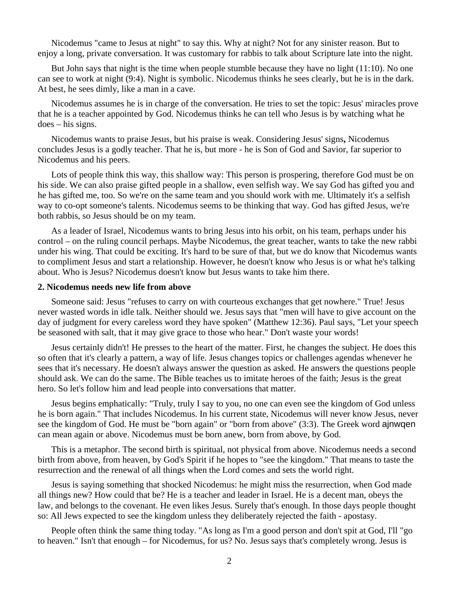Nicodemus "came to Jesus at night" to say this. Why at night? Not for any sinister reason. But to enjoy a long, private conversation. It was customary for rabbis to talk about Scripture late into the night.

 But John says that night is the time when people stumble because they have no light (11:10). No one can see to work at night (9:4). Night is symbolic. Nicodemus thinks he sees clearly, but he is in the dark. At best, he sees dimly, like a man in a cave.

 Nicodemus assumes he is in charge of the conversation. He tries to set the topic: Jesus' miracles prove that he is a teacher appointed by God. Nicodemus thinks he can tell who Jesus is by watching what he does – his signs.

 Nicodemus wants to praise Jesus, but his praise is weak. Considering Jesus' signs**,** Nicodemus concludes Jesus is a godly teacher. That he is, but more - he is Son of God and Savior, far superior to Nicodemus and his peers.

 Lots of people think this way, this shallow way: This person is prospering, therefore God must be on his side. We can also praise gifted people in a shallow, even selfish way. We say God has gifted you and he has gifted me, too. So we're on the same team and you should work with me. Ultimately it's a selfish way to co-opt someone's talents. Nicodemus seems to be thinking that way. God has gifted Jesus, we're both rabbis, so Jesus should be on my team.

 As a leader of Israel, Nicodemus wants to bring Jesus into his orbit, on his team, perhaps under his control – on the ruling council perhaps. Maybe Nicodemus, the great teacher, wants to take the new rabbi under his wing. That could be exciting. It's hard to be sure of that, but we do know that Nicodemus wants to compliment Jesus and start a relationship. However, he doesn't know who Jesus is or what he's talking about. Who is Jesus? Nicodemus doesn't know but Jesus wants to take him there.

#### **2. Nicodemus needs new life from above**

 Someone said: Jesus "refuses to carry on with courteous exchanges that get nowhere." True! Jesus never wasted words in idle talk. Neither should we. Jesus says that "men will have to give account on the day of judgment for every careless word they have spoken" (Matthew 12:36). Paul says, "Let your speech be seasoned with salt, that it may give grace to those who hear." Don't waste your words!

 Jesus certainly didn't! He presses to the heart of the matter. First, he changes the subject. He does this so often that it's clearly a pattern, a way of life. Jesus changes topics or challenges agendas whenever he sees that it's necessary. He doesn't always answer the question as asked. He answers the questions people should ask. We can do the same. The Bible teaches us to imitate heroes of the faith; Jesus is the great hero. So let's follow him and lead people into conversations that matter.

 Jesus begins emphatically: "Truly, truly I say to you, no one can even see the kingdom of God unless he is born again." That includes Nicodemus. In his current state, Nicodemus will never know Jesus, never see the kingdom of God. He must be "born again" or "born from above" (3:3). The Greek word ajnwqen can mean again or above. Nicodemus must be born anew, born from above, by God.

 This is a metaphor. The second birth is spiritual, not physical from above. Nicodemus needs a second birth from above, from heaven, by God's Spirit if he hopes to "see the kingdom." That means to taste the resurrection and the renewal of all things when the Lord comes and sets the world right.

 Jesus is saying something that shocked Nicodemus: he might miss the resurrection, when God made all things new? How could that be? He is a teacher and leader in Israel. He is a decent man, obeys the law, and belongs to the covenant. He even likes Jesus. Surely that's enough. In those days people thought so: All Jews expected to see the kingdom unless they deliberately rejected the faith - apostasy.

People often think the same thing today. "As long as I'm a good person and don't spit at God, I'll "go to heaven." Isn't that enough – for Nicodemus, for us? No. Jesus says that's completely wrong. Jesus is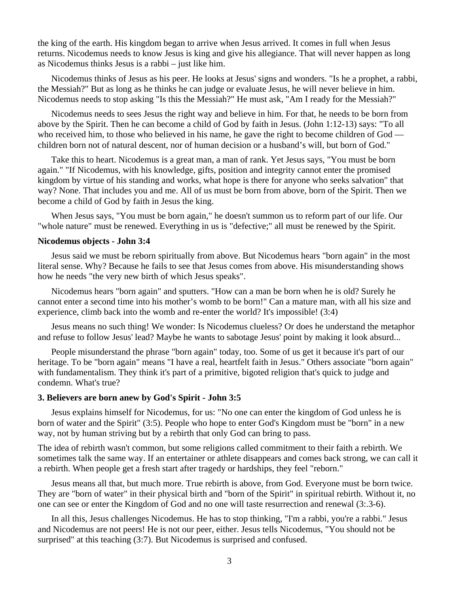the king of the earth. His kingdom began to arrive when Jesus arrived. It comes in full when Jesus returns. Nicodemus needs to know Jesus is king and give his allegiance. That will never happen as long as Nicodemus thinks Jesus is a rabbi – just like him.

 Nicodemus thinks of Jesus as his peer. He looks at Jesus' signs and wonders. "Is he a prophet, a rabbi, the Messiah?" But as long as he thinks he can judge or evaluate Jesus, he will never believe in him. Nicodemus needs to stop asking "Is this the Messiah?" He must ask, "Am I ready for the Messiah?"

 Nicodemus needs to sees Jesus the right way and believe in him. For that, he needs to be born from above by the Spirit. Then he can become a child of God by faith in Jesus. (John 1:12-13) says: "To all who received him, to those who believed in his name, he gave the right to become children of God – children born not of natural descent, nor of human decision or a husband's will, but born of God."

 Take this to heart. Nicodemus is a great man, a man of rank. Yet Jesus says, "You must be born again." "If Nicodemus, with his knowledge, gifts, position and integrity cannot enter the promised kingdom by virtue of his standing and works, what hope is there for anyone who seeks salvation" that way? None. That includes you and me. All of us must be born from above, born of the Spirit. Then we become a child of God by faith in Jesus the king.

 When Jesus says, "You must be born again," he doesn't summon us to reform part of our life. Our "whole nature" must be renewed. Everything in us is "defective;" all must be renewed by the Spirit.

### **Nicodemus objects - John 3:4**

 Jesus said we must be reborn spiritually from above. But Nicodemus hears "born again" in the most literal sense. Why? Because he fails to see that Jesus comes from above. His misunderstanding shows how he needs "the very new birth of which Jesus speaks".

 Nicodemus hears "born again" and sputters. "How can a man be born when he is old? Surely he cannot enter a second time into his mother's womb to be born!" Can a mature man, with all his size and experience, climb back into the womb and re-enter the world? It's impossible! (3:4)

 Jesus means no such thing! We wonder: Is Nicodemus clueless? Or does he understand the metaphor and refuse to follow Jesus' lead? Maybe he wants to sabotage Jesus' point by making it look absurd...

 People misunderstand the phrase "born again" today, too. Some of us get it because it's part of our heritage. To be "born again" means "I have a real, heartfelt faith in Jesus." Others associate "born again" with fundamentalism. They think it's part of a primitive, bigoted religion that's quick to judge and condemn. What's true?

### **3. Believers are born anew by God's Spirit - John 3:5**

 Jesus explains himself for Nicodemus, for us: "No one can enter the kingdom of God unless he is born of water and the Spirit" (3:5). People who hope to enter God's Kingdom must be "born" in a new way, not by human striving but by a rebirth that only God can bring to pass.

The idea of rebirth wasn't common, but some religions called commitment to their faith a rebirth. We sometimes talk the same way. If an entertainer or athlete disappears and comes back strong, we can call it a rebirth. When people get a fresh start after tragedy or hardships, they feel "reborn."

 Jesus means all that, but much more. True rebirth is above, from God. Everyone must be born twice. They are "born of water" in their physical birth and "born of the Spirit" in spiritual rebirth. Without it, no one can see or enter the Kingdom of God and no one will taste resurrection and renewal (3:.3-6).

 In all this, Jesus challenges Nicodemus. He has to stop thinking, "I'm a rabbi, you're a rabbi." Jesus and Nicodemus are not peers! He is not our peer, either. Jesus tells Nicodemus, "You should not be surprised" at this teaching (3:7). But Nicodemus is surprised and confused.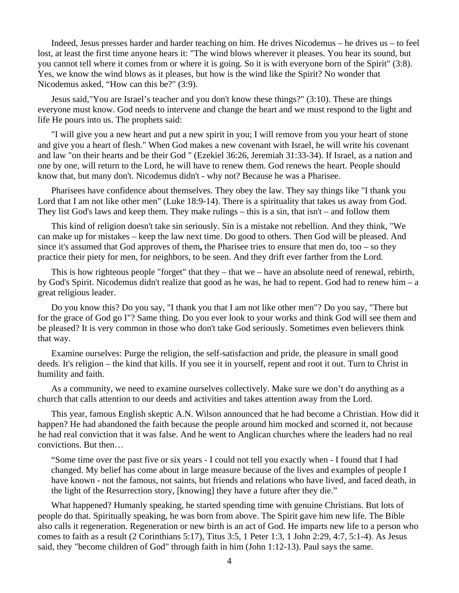Indeed, Jesus presses harder and harder teaching on him. He drives Nicodemus – he drives us – to feel lost, at least the first time anyone hears it: "The wind blows wherever it pleases. You hear its sound, but you cannot tell where it comes from or where it is going. So it is with everyone born of the Spirit" (3:8). Yes, we know the wind blows as it pleases, but how is the wind like the Spirit? No wonder that Nicodemus asked, "How can this be?" (3:9).

 Jesus said,"You are Israel's teacher and you don't know these things?" (3:10). These are things everyone must know. God needs to intervene and change the heart and we must respond to the light and life He pours into us. The prophets said:

 "I will give you a new heart and put a new spirit in you; I will remove from you your heart of stone and give you a heart of flesh." When God makes a new covenant with Israel, he will write his covenant and law "on their hearts and be their God " (Ezekiel 36:26, Jeremiah 31:33-34). If Israel, as a nation and one by one, will return to the Lord, he will have to renew them. God renews the heart. People should know that, but many don't. Nicodemus didn't - why not? Because he was a Pharisee.

 Pharisees have confidence about themselves. They obey the law. They say things like "I thank you Lord that I am not like other men" (Luke 18:9-14). There is a spirituality that takes us away from God. They list God's laws and keep them. They make rulings – this is a sin, that isn't – and follow them

 This kind of religion doesn't take sin seriously. Sin is a mistake not rebellion. And they think, "We can make up for mistakes – keep the law next time. Do good to others. Then God will be pleased. And since it's assumed that God approves of them**,** the Pharisee tries to ensure that men do, too – so they practice their piety for men, for neighbors, to be seen. And they drift ever farther from the Lord.

 This is how righteous people "forget" that they – that we – have an absolute need of renewal, rebirth, by God's Spirit. Nicodemus didn't realize that good as he was, he had to repent. God had to renew him – a great religious leader.

 Do you know this? Do you say, "I thank you that I am not like other men"? Do you say, "There but for the grace of God go I"? Same thing. Do you ever look to your works and think God will see them and be pleased? It is very common in those who don't take God seriously. Sometimes even believers think that way.

 Examine ourselves: Purge the religion, the self-satisfaction and pride, the pleasure in small good deeds. It's religion – the kind that kills. If you see it in yourself, repent and root it out. Turn to Christ in humility and faith.

 As a community, we need to examine ourselves collectively. Make sure we don't do anything as a church that calls attention to our deeds and activities and takes attention away from the Lord.

 This year, famous English skeptic A.N. Wilson announced that he had become a Christian. How did it happen? He had abandoned the faith because the people around him mocked and scorned it, not because he had real conviction that it was false. And he went to Anglican churches where the leaders had no real convictions. But then…

"Some time over the past five or six years - I could not tell you exactly when - I found that I had changed. My belief has come about in large measure because of the lives and examples of people I have known - not the famous, not saints, but friends and relations who have lived, and faced death, in the light of the Resurrection story, [knowing] they have a future after they die."

 What happened? Humanly speaking, he started spending time with genuine Christians. But lots of people do that. Spiritually speaking, he was born from above. The Spirit gave him new life. The Bible also calls it regeneration. Regeneration or new birth is an act of God. He imparts new life to a person who comes to faith as a result (2 Corinthians 5:17), Titus 3:5, 1 Peter 1:3, 1 John 2:29, 4:7, 5:1-4). As Jesus said, they "become children of God" through faith in him (John 1:12-13). Paul says the same.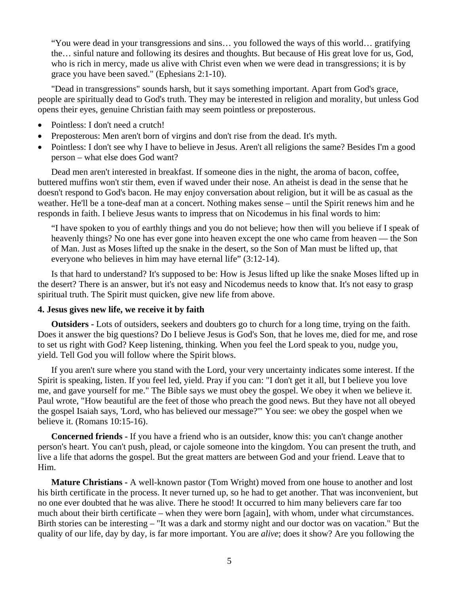"You were dead in your transgressions and sins… you followed the ways of this world… gratifying the… sinful nature and following its desires and thoughts. But because of His great love for us, God, who is rich in mercy, made us alive with Christ even when we were dead in transgressions; it is by grace you have been saved." (Ephesians 2:1-10).

 "Dead in transgressions" sounds harsh, but it says something important. Apart from God's grace, people are spiritually dead to God's truth. They may be interested in religion and morality, but unless God opens their eyes, genuine Christian faith may seem pointless or preposterous.

- Pointless: I don't need a crutch!
- Preposterous: Men aren't born of virgins and don't rise from the dead. It's myth.
- Pointless: I don't see why I have to believe in Jesus. Aren't all religions the same? Besides I'm a good person – what else does God want?

 Dead men aren't interested in breakfast. If someone dies in the night, the aroma of bacon, coffee, buttered muffins won't stir them, even if waved under their nose. An atheist is dead in the sense that he doesn't respond to God's bacon. He may enjoy conversation about religion, but it will be as casual as the weather. He'll be a tone-deaf man at a concert. Nothing makes sense – until the Spirit renews him and he responds in faith. I believe Jesus wants to impress that on Nicodemus in his final words to him:

"I have spoken to you of earthly things and you do not believe; how then will you believe if I speak of heavenly things? No one has ever gone into heaven except the one who came from heaven — the Son of Man. Just as Moses lifted up the snake in the desert, so the Son of Man must be lifted up, that everyone who believes in him may have eternal life" (3:12-14).

 Is that hard to understand? It's supposed to be: How is Jesus lifted up like the snake Moses lifted up in the desert? There is an answer, but it's not easy and Nicodemus needs to know that. It's not easy to grasp spiritual truth. The Spirit must quicken, give new life from above.

# **4. Jesus gives new life, we receive it by faith**

**Outsiders -** Lots of outsiders, seekers and doubters go to church for a long time, trying on the faith. Does it answer the big questions? Do I believe Jesus is God's Son, that he loves me, died for me, and rose to set us right with God? Keep listening, thinking. When you feel the Lord speak to you, nudge you, yield. Tell God you will follow where the Spirit blows.

 If you aren't sure where you stand with the Lord, your very uncertainty indicates some interest. If the Spirit is speaking, listen. If you feel led, yield. Pray if you can: "I don't get it all, but I believe you love me, and gave yourself for me." The Bible says we must obey the gospel. We obey it when we believe it. Paul wrote, "How beautiful are the feet of those who preach the good news. But they have not all obeyed the gospel Isaiah says, 'Lord, who has believed our message?'" You see: we obey the gospel when we believe it. (Romans 10:15-16).

**Concerned friends -** If you have a friend who is an outsider, know this: you can't change another person's heart. You can't push, plead, or cajole someone into the kingdom. You can present the truth, and live a life that adorns the gospel. But the great matters are between God and your friend. Leave that to Him.

**Mature Christians -** A well-known pastor (Tom Wright) moved from one house to another and lost his birth certificate in the process. It never turned up, so he had to get another. That was inconvenient, but no one ever doubted that he was alive. There he stood! It occurred to him many believers care far too much about their birth certificate – when they were born [again], with whom, under what circumstances. Birth stories can be interesting – "It was a dark and stormy night and our doctor was on vacation." But the quality of our life, day by day, is far more important. You are *alive*; does it show? Are you following the